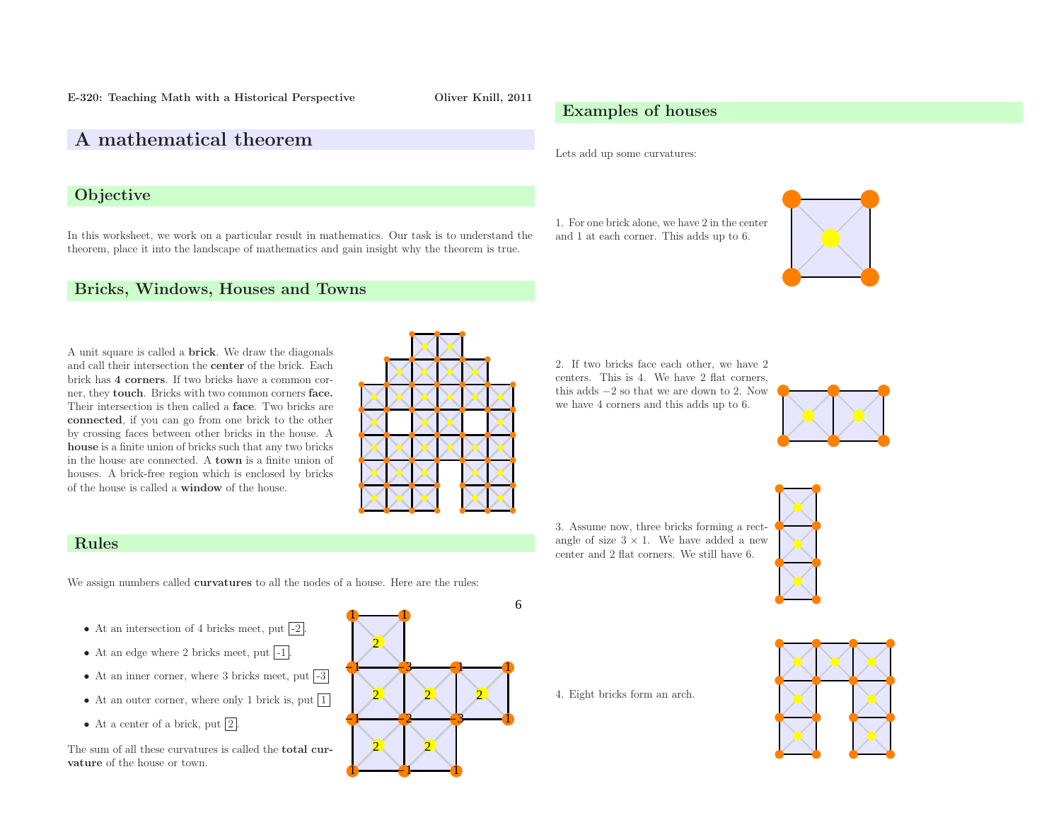E-320: Teaching Math with <sup>a</sup> Historical Perspective Oliver Knill, <sup>2011</sup>

# <sup>A</sup> mathematical theorem

### **Objective**

In this worksheet, we work on <sup>a</sup> particular result in mathematics. Our task is to understand the theorem, <sup>p</sup>lace it into the landscape of mathematics and gain insight why the theorem is true.

# Lets add up some curvatures:

Examples of houses

1. For one brick alone, we have <sup>2</sup> in the center and <sup>1</sup> at each corner. This adds up to 6.



## Bricks, Windows, Houses and Towns

<sup>A</sup> unit square is called <sup>a</sup> brick. We draw the diagonals and call their intersection the center of the brick. Each brick has <sup>4</sup> corners. If two bricks have <sup>a</sup> common corner, they touch. Bricks with two common corners face. Their intersection is then called <sup>a</sup> face. Two bricks are connected, if you can go from one brick to the other by crossing faces between other bricks in the house. <sup>A</sup> house is <sup>a</sup> finite union of bricks such that any two bricks in the house are connected. A **town** is a finite union of houses. <sup>A</sup> brick-free region which is enclosed by bricks of the house is called <sup>a</sup> window of the house.

6

2. If two bricks face each other, we have <sup>2</sup> centers. This is 4. We have <sup>2</sup> flat corners, this adds <sup>−</sup><sup>2</sup> so that we are down to 2. Nowwe have <sup>4</sup> corners and this adds up to 6.



3. Assume now, three bricks forming <sup>a</sup> rectangle of size  $3 \times 1$ . We have added a new center and <sup>2</sup> flat corners. We still have 6.



4. Eight bricks form an arch.



### Rules

We assign numbers called **curvatures** to all the nodes of a house. Here are the rules:

- At an intersection of 4 bricks meet, put  $-2$ .
- At an edge where 2 bricks meet, put  $-1$ .
- At an inner corner, where 3 bricks meet, put  $-3$
- At an outer corner, where only 1 brick is, put  $1$
- At a center of a brick, put  $\boxed{2}$ .

The sum of all these curvatures is called the total curvature of the house or town.